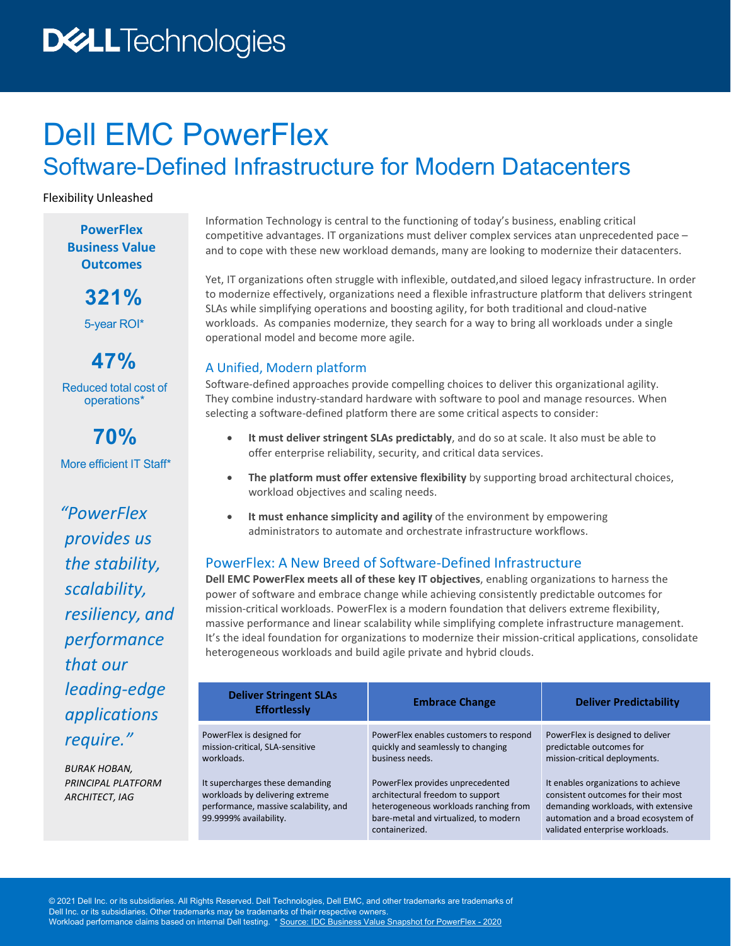# **DELLTechnologies**

## Dell EMC PowerFlex Software-Defined Infrastructure for Modern Datacenters

Flexibility Unleashed

**PowerFlex Business Value Outcomes**

> **321%** 5-year ROI\*

**47%** Reduced total cost of operations\*

**70%** More efficient IT Staff\*

*"PowerFlex provides us the stability, scalability, resiliency, and performance that our leading-edge applications require."*

*BURAK HOBAN, PRINCIPAL PLATFORM ARCHITECT, IAG*

Information Technology is central to the functioning of today's business, enabling critical competitive advantages. IT organizations must deliver complex services atan unprecedented pace – and to cope with these new workload demands, many are looking to modernize their datacenters.

Yet, IT organizations often struggle with inflexible, outdated,and siloed legacy infrastructure. In order to modernize effectively, organizations need a flexible infrastructure platform that delivers stringent SLAs while simplifying operations and boosting agility, for both traditional and cloud-native workloads. As companies modernize, they search for a way to bring all workloads under a single operational model and become more agile.

## A Unified, Modern platform

Software-defined approaches provide compelling choices to deliver this organizational agility. They combine industry-standard hardware with software to pool and manage resources. When selecting a software-defined platform there are some critical aspects to consider:

- **It must deliver stringent SLAs predictably**, and do so at scale. It also must be able to offer enterprise reliability, security, and critical data services.
- **The platform must offer extensive flexibility** by supporting broad architectural choices, workload objectives and scaling needs.
- **It must enhance simplicity and agility** of the environment by empowering administrators to automate and orchestrate infrastructure workflows.

## PowerFlex: A New Breed of Software-Defined Infrastructure

**Dell EMC PowerFlex meets all of these key IT objectives**, enabling organizations to harness the power of software and embrace change while achieving consistently predictable outcomes for mission-critical workloads. PowerFlex is a modern foundation that delivers extreme flexibility, massive performance and linear scalability while simplifying complete infrastructure management. It's the ideal foundation for organizations to modernize their mission-critical applications, consolidate heterogeneous workloads and build agile private and hybrid clouds.

| <b>Deliver Stringent SLAs</b><br><b>Effortlessly</b>                                                                                                                                                                | <b>Embrace Change</b>                                                                                                                                                                                                                                                       | <b>Deliver Predictability</b>                                                                                                                                                                                                                                                               |
|---------------------------------------------------------------------------------------------------------------------------------------------------------------------------------------------------------------------|-----------------------------------------------------------------------------------------------------------------------------------------------------------------------------------------------------------------------------------------------------------------------------|---------------------------------------------------------------------------------------------------------------------------------------------------------------------------------------------------------------------------------------------------------------------------------------------|
| PowerFlex is designed for<br>mission-critical, SLA-sensitive<br>workloads.<br>It supercharges these demanding<br>workloads by delivering extreme<br>performance, massive scalability, and<br>99.9999% availability. | PowerFlex enables customers to respond<br>quickly and seamlessly to changing<br>business needs.<br>PowerFlex provides unprecedented<br>architectural freedom to support<br>heterogeneous workloads ranching from<br>bare-metal and virtualized, to modern<br>containerized. | PowerFlex is designed to deliver<br>predictable outcomes for<br>mission-critical deployments.<br>It enables organizations to achieve<br>consistent outcomes for their most<br>demanding workloads, with extensive<br>automation and a broad ecosystem of<br>validated enterprise workloads. |